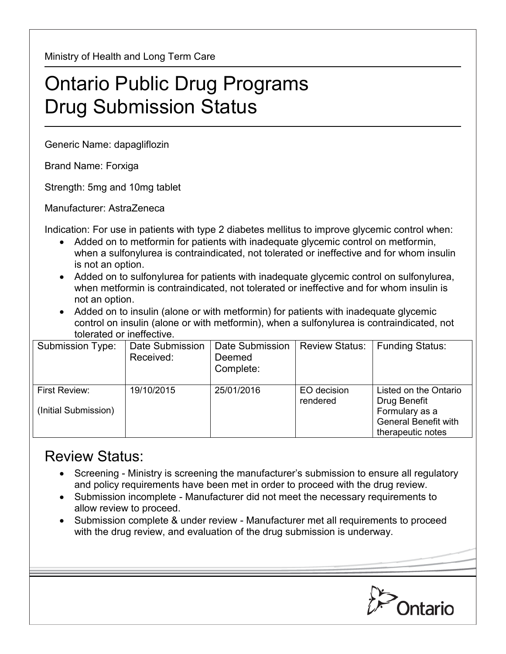Ministry of Health and Long Term Care

## Ontario Public Drug Programs Drug Submission Status

Generic Name: dapagliflozin

Brand Name: Forxiga

Strength: 5mg and 10mg tablet

Manufacturer: AstraZeneca

Indication: For use in patients with type 2 diabetes mellitus to improve glycemic control when:

- Added on to metformin for patients with inadequate glycemic control on metformin, when a sulfonylurea is contraindicated, not tolerated or ineffective and for whom insulin is not an option.
- Added on to sulfonylurea for patients with inadequate glycemic control on sulfonylurea, when metformin is contraindicated, not tolerated or ineffective and for whom insulin is not an option.
- Added on to insulin (alone or with metformin) for patients with inadequate glycemic control on insulin (alone or with metformin), when a sulfonylurea is contraindicated, not tolerated or ineffective.

| Submission Type:     | Date Submission<br>Received: | Date Submission<br>Deemed | <b>Review Status:</b>   | <b>Funding Status:</b>                           |
|----------------------|------------------------------|---------------------------|-------------------------|--------------------------------------------------|
|                      |                              | Complete:                 |                         |                                                  |
| First Review:        | 19/10/2015                   | 25/01/2016                | EO decision<br>rendered | Listed on the Ontario<br>Drug Benefit            |
| (Initial Submission) |                              |                           |                         | Formulary as a                                   |
|                      |                              |                           |                         | <b>General Benefit with</b><br>therapeutic notes |

## Review Status:

- Screening Ministry is screening the manufacturer's submission to ensure all regulatory and policy requirements have been met in order to proceed with the drug review.
- Submission incomplete Manufacturer did not meet the necessary requirements to allow review to proceed.
- Submission complete & under review Manufacturer met all requirements to proceed with the drug review, and evaluation of the drug submission is underway.